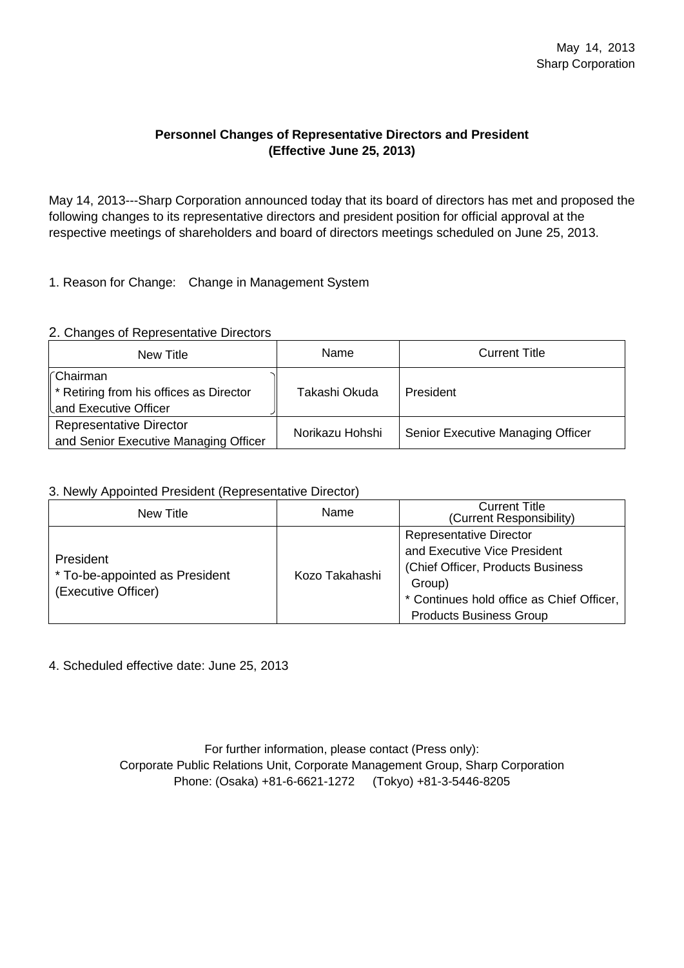## **Personnel Changes of Representative Directors and President (Effective June 25, 2013)**

May 14, 2013---Sharp Corporation announced today that its board of directors has met and proposed the following changes to its representative directors and president position for official approval at the respective meetings of shareholders and board of directors meetings scheduled on June 25, 2013.

1. Reason for Change: Change in Management System

## 2. Changes of Representative Directors

| New Title                                                                       | Name            | <b>Current Title</b>              |
|---------------------------------------------------------------------------------|-----------------|-----------------------------------|
| l∩Chairman<br>* Retiring from his offices as Director<br>Land Executive Officer | Takashi Okuda   | President                         |
| <b>Representative Director</b><br>and Senior Executive Managing Officer         | Norikazu Hohshi | Senior Executive Managing Officer |

## 3. Newly Appointed President (Representative Director)

| New Title                                                          | Name           | <b>Current Title</b><br>(Current Responsibility)                                                                                                                                              |
|--------------------------------------------------------------------|----------------|-----------------------------------------------------------------------------------------------------------------------------------------------------------------------------------------------|
| President<br>* To-be-appointed as President<br>(Executive Officer) | Kozo Takahashi | <b>Representative Director</b><br>and Executive Vice President<br>(Chief Officer, Products Business)<br>Group)<br>* Continues hold office as Chief Officer,<br><b>Products Business Group</b> |

4. Scheduled effective date: June 25, 2013

For further information, please contact (Press only): Corporate Public Relations Unit, Corporate Management Group, Sharp Corporation Phone: (Osaka) +81-6-6621-1272 (Tokyo) +81-3-5446-8205